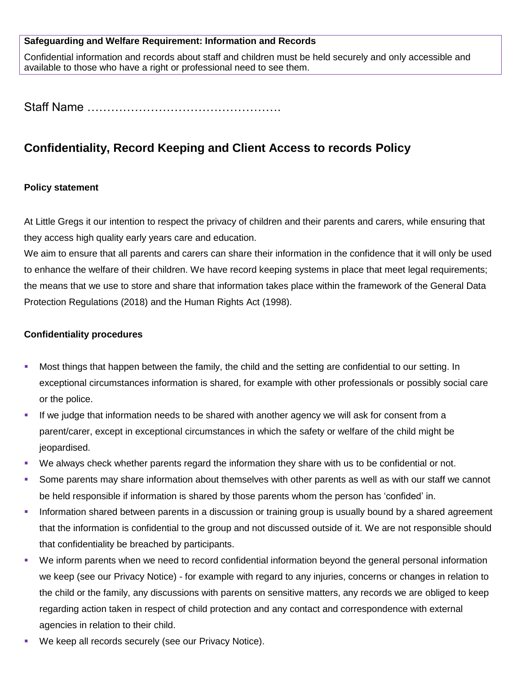#### **Safeguarding and Welfare Requirement: Information and Records**

Confidential information and records about staff and children must be held securely and only accessible and available to those who have a right or professional need to see them.

Staff Name ………………………………………….

# **Confidentiality, Record Keeping and Client Access to records Policy**

## **Policy statement**

At Little Gregs it our intention to respect the privacy of children and their parents and carers, while ensuring that they access high quality early years care and education.

We aim to ensure that all parents and carers can share their information in the confidence that it will only be used to enhance the welfare of their children. We have record keeping systems in place that meet legal requirements; the means that we use to store and share that information takes place within the framework of the General Data Protection Regulations (2018) and the Human Rights Act (1998).

## **Confidentiality procedures**

- Most things that happen between the family, the child and the setting are confidential to our setting. In exceptional circumstances information is shared, for example with other professionals or possibly social care or the police.
- If we judge that information needs to be shared with another agency we will ask for consent from a parent/carer, except in exceptional circumstances in which the safety or welfare of the child might be jeopardised.
- We always check whether parents regard the information they share with us to be confidential or not.
- Some parents may share information about themselves with other parents as well as with our staff we cannot be held responsible if information is shared by those parents whom the person has 'confided' in.
- Information shared between parents in a discussion or training group is usually bound by a shared agreement that the information is confidential to the group and not discussed outside of it. We are not responsible should that confidentiality be breached by participants.
- We inform parents when we need to record confidential information beyond the general personal information we keep (see our Privacy Notice) - for example with regard to any injuries, concerns or changes in relation to the child or the family, any discussions with parents on sensitive matters, any records we are obliged to keep regarding action taken in respect of child protection and any contact and correspondence with external agencies in relation to their child.
- We keep all records securely (see our Privacy Notice).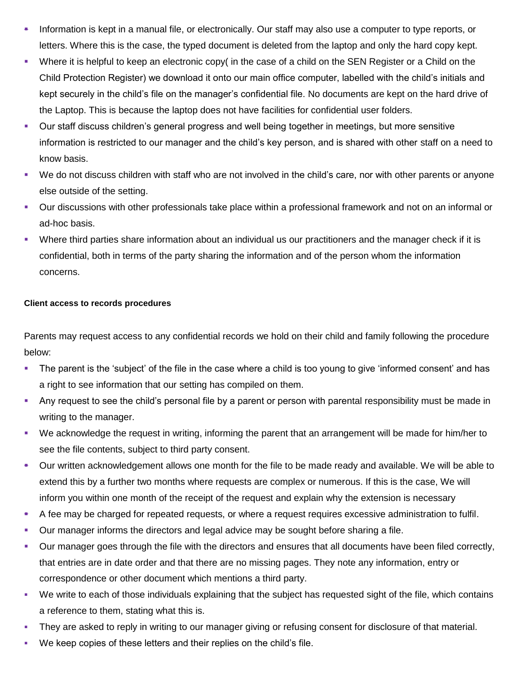- Information is kept in a manual file, or electronically. Our staff may also use a computer to type reports, or letters. Where this is the case, the typed document is deleted from the laptop and only the hard copy kept.
- Where it is helpful to keep an electronic copy( in the case of a child on the SEN Register or a Child on the Child Protection Register) we download it onto our main office computer, labelled with the child's initials and kept securely in the child's file on the manager's confidential file. No documents are kept on the hard drive of the Laptop. This is because the laptop does not have facilities for confidential user folders.
- Our staff discuss children's general progress and well being together in meetings, but more sensitive information is restricted to our manager and the child's key person, and is shared with other staff on a need to know basis.
- We do not discuss children with staff who are not involved in the child's care, nor with other parents or anyone else outside of the setting.
- Our discussions with other professionals take place within a professional framework and not on an informal or ad-hoc basis.
- Where third parties share information about an individual us our practitioners and the manager check if it is confidential, both in terms of the party sharing the information and of the person whom the information concerns.

#### **Client access to records procedures**

Parents may request access to any confidential records we hold on their child and family following the procedure below:

- The parent is the 'subject' of the file in the case where a child is too young to give 'informed consent' and has a right to see information that our setting has compiled on them.
- Any request to see the child's personal file by a parent or person with parental responsibility must be made in writing to the manager.
- We acknowledge the request in writing, informing the parent that an arrangement will be made for him/her to see the file contents, subject to third party consent.
- Our written acknowledgement allows one month for the file to be made ready and available. We will be able to extend this by a further two months where requests are complex or numerous. If this is the case, We will inform you within one month of the receipt of the request and explain why the extension is necessary
- A fee may be charged for repeated requests, or where a request requires excessive administration to fulfil.
- Our manager informs the directors and legal advice may be sought before sharing a file.
- Our manager goes through the file with the directors and ensures that all documents have been filed correctly, that entries are in date order and that there are no missing pages. They note any information, entry or correspondence or other document which mentions a third party.
- We write to each of those individuals explaining that the subject has requested sight of the file, which contains a reference to them, stating what this is.
- They are asked to reply in writing to our manager giving or refusing consent for disclosure of that material.
- We keep copies of these letters and their replies on the child's file.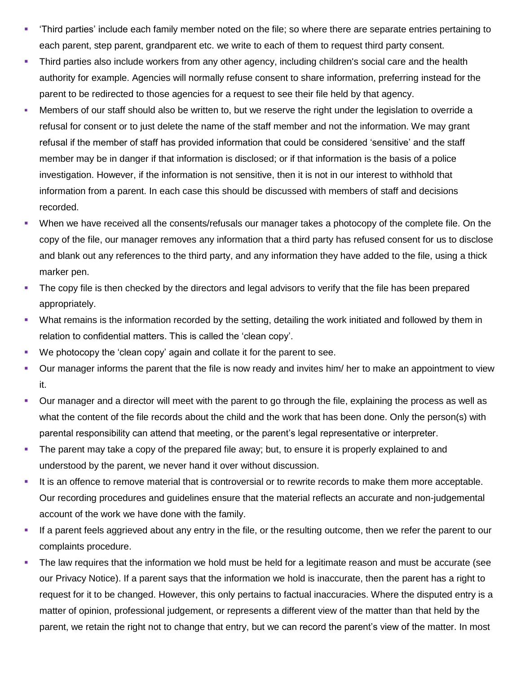- 'Third parties' include each family member noted on the file; so where there are separate entries pertaining to each parent, step parent, grandparent etc. we write to each of them to request third party consent.
- Third parties also include workers from any other agency, including children's social care and the health authority for example. Agencies will normally refuse consent to share information, preferring instead for the parent to be redirected to those agencies for a request to see their file held by that agency.
- Members of our staff should also be written to, but we reserve the right under the legislation to override a refusal for consent or to just delete the name of the staff member and not the information. We may grant refusal if the member of staff has provided information that could be considered 'sensitive' and the staff member may be in danger if that information is disclosed; or if that information is the basis of a police investigation. However, if the information is not sensitive, then it is not in our interest to withhold that information from a parent. In each case this should be discussed with members of staff and decisions recorded.
- When we have received all the consents/refusals our manager takes a photocopy of the complete file. On the copy of the file, our manager removes any information that a third party has refused consent for us to disclose and blank out any references to the third party, and any information they have added to the file, using a thick marker pen.
- The copy file is then checked by the directors and legal advisors to verify that the file has been prepared appropriately.
- What remains is the information recorded by the setting, detailing the work initiated and followed by them in relation to confidential matters. This is called the 'clean copy'.
- We photocopy the 'clean copy' again and collate it for the parent to see.
- Our manager informs the parent that the file is now ready and invites him/ her to make an appointment to view it.
- Our manager and a director will meet with the parent to go through the file, explaining the process as well as what the content of the file records about the child and the work that has been done. Only the person(s) with parental responsibility can attend that meeting, or the parent's legal representative or interpreter.
- The parent may take a copy of the prepared file away; but, to ensure it is properly explained to and understood by the parent, we never hand it over without discussion.
- It is an offence to remove material that is controversial or to rewrite records to make them more acceptable. Our recording procedures and guidelines ensure that the material reflects an accurate and non-judgemental account of the work we have done with the family.
- If a parent feels aggrieved about any entry in the file, or the resulting outcome, then we refer the parent to our complaints procedure.
- The law requires that the information we hold must be held for a legitimate reason and must be accurate (see our Privacy Notice). If a parent says that the information we hold is inaccurate, then the parent has a right to request for it to be changed. However, this only pertains to factual inaccuracies. Where the disputed entry is a matter of opinion, professional judgement, or represents a different view of the matter than that held by the parent, we retain the right not to change that entry, but we can record the parent's view of the matter. In most